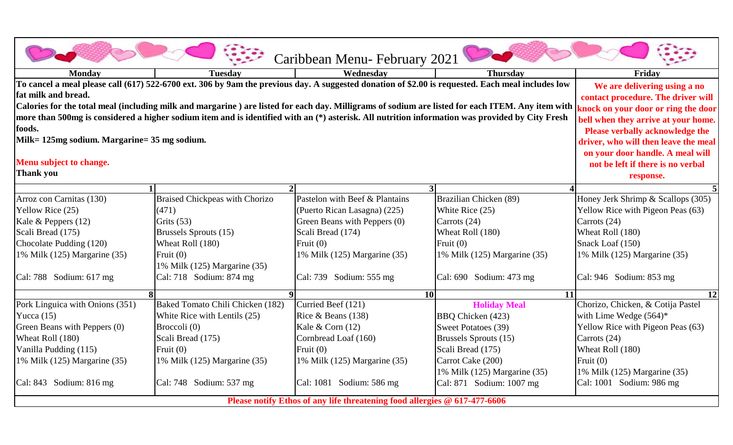|                                                                                                                                                                          |                                                                                                                                                                                                                                  | Caribbean Menu-February 2021   |                              |                                    |  |  |
|--------------------------------------------------------------------------------------------------------------------------------------------------------------------------|----------------------------------------------------------------------------------------------------------------------------------------------------------------------------------------------------------------------------------|--------------------------------|------------------------------|------------------------------------|--|--|
| Monday                                                                                                                                                                   | <b>Tuesday</b>                                                                                                                                                                                                                   | Wednesday                      | <b>Thursday</b>              | Friday                             |  |  |
| To cancel a meal please call (617) 522-6700 ext. 306 by 9am the previous day. A suggested donation of \$2.00 is requested. Each meal includes low<br>fat milk and bread. | We are delivering using a no<br>contact procedure. The driver will                                                                                                                                                               |                                |                              |                                    |  |  |
| more than 500mg is considered a higher sodium item and is identified with an (*) asterisk. All nutrition information was provided by City Fresh                          | Calories for the total meal (including milk and margarine ) are listed for each day. Milligrams of sodium are listed for each ITEM. Any item with $ $ knock on your door or ring the door<br>bell when they arrive at your home. |                                |                              |                                    |  |  |
| foods.                                                                                                                                                                   | <b>Please verbally acknowledge the</b>                                                                                                                                                                                           |                                |                              |                                    |  |  |
| Milk= 125mg sodium. Margarine= 35 mg sodium.                                                                                                                             | driver, who will then leave the meal                                                                                                                                                                                             |                                |                              |                                    |  |  |
|                                                                                                                                                                          | on your door handle. A meal will                                                                                                                                                                                                 |                                |                              |                                    |  |  |
| Menu subject to change.                                                                                                                                                  | not be left if there is no verbal                                                                                                                                                                                                |                                |                              |                                    |  |  |
| <b>Thank you</b>                                                                                                                                                         |                                                                                                                                                                                                                                  |                                |                              | response.                          |  |  |
|                                                                                                                                                                          |                                                                                                                                                                                                                                  |                                | $\overline{3}$               |                                    |  |  |
| Arroz con Carnitas (130)                                                                                                                                                 | <b>Braised Chickpeas with Chorizo</b>                                                                                                                                                                                            | Pastelon with Beef & Plantains | Brazilian Chicken (89)       | Honey Jerk Shrimp & Scallops (305) |  |  |
| Yellow Rice (25)                                                                                                                                                         | (471)                                                                                                                                                                                                                            | (Puerto Rican Lasagna) (225)   | White Rice (25)              | Yellow Rice with Pigeon Peas (63)  |  |  |
| Kale & Peppers $(12)$                                                                                                                                                    | Grits $(53)$                                                                                                                                                                                                                     | Green Beans with Peppers (0)   | Carrots (24)                 | Carrots (24)                       |  |  |
| Scali Bread (175)                                                                                                                                                        | Brussels Sprouts (15)                                                                                                                                                                                                            | Scali Bread (174)              | Wheat Roll (180)             | Wheat Roll (180)                   |  |  |
| Chocolate Pudding (120)                                                                                                                                                  | Wheat Roll (180)                                                                                                                                                                                                                 | Fruit $(0)$                    | Fruit $(0)$                  | Snack Loaf (150)                   |  |  |
| 1% Milk (125) Margarine (35)                                                                                                                                             | Fruit $(0)$<br>1% Milk (125) Margarine (35)                                                                                                                                                                                      | 1% Milk (125) Margarine (35)   | 1% Milk (125) Margarine (35) | 1% Milk (125) Margarine (35)       |  |  |
| Cal: 788 Sodium: 617 mg                                                                                                                                                  | Cal: 718 Sodium: 874 mg                                                                                                                                                                                                          | Cal: 739 Sodium: 555 mg        | Cal: $690$ Sodium: $473$ mg  | Cal: $946$ Sodium: $853$ mg        |  |  |
|                                                                                                                                                                          | $\Omega$                                                                                                                                                                                                                         |                                | <b>10</b><br><b>11</b>       | $\overline{12}$                    |  |  |
| Pork Linguica with Onions (351)                                                                                                                                          | Baked Tomato Chili Chicken (182)                                                                                                                                                                                                 | Curried Beef (121)             | <b>Holiday Meal</b>          | Chorizo, Chicken, & Cotija Pastel  |  |  |
| Yucca $(15)$                                                                                                                                                             | White Rice with Lentils (25)                                                                                                                                                                                                     | Rice & Beans $(138)$           | BBQ Chicken (423)            | with Lime Wedge $(564)^*$          |  |  |
| Green Beans with Peppers (0)                                                                                                                                             | Broccoli (0)                                                                                                                                                                                                                     | Kale & Corn (12)               | Sweet Potatoes (39)          | Yellow Rice with Pigeon Peas (63)  |  |  |
| Wheat Roll (180)                                                                                                                                                         | Scali Bread (175)                                                                                                                                                                                                                | Cornbread Loaf (160)           | Brussels Sprouts (15)        | Carrots (24)                       |  |  |
| Vanilla Pudding (115)                                                                                                                                                    | Fruit $(0)$                                                                                                                                                                                                                      | Fruit $(0)$                    | Scali Bread (175)            | Wheat Roll (180)                   |  |  |
| 1% Milk (125) Margarine (35)                                                                                                                                             | 1% Milk (125) Margarine (35)                                                                                                                                                                                                     | 1% Milk (125) Margarine (35)   | Carrot Cake (200)            | Fruit $(0)$                        |  |  |
|                                                                                                                                                                          |                                                                                                                                                                                                                                  |                                | 1% Milk (125) Margarine (35) | 1% Milk (125) Margarine (35)       |  |  |
| Cal: 843 Sodium: 816 mg                                                                                                                                                  | Cal: 748 Sodium: 537 mg                                                                                                                                                                                                          | Cal: 1081 Sodium: 586 mg       | Cal: 871 Sodium: 1007 mg     | Cal: 1001 Sodium: 986 mg           |  |  |
| Please notify Ethos of any life threatening food allergies @ 617-477-6606                                                                                                |                                                                                                                                                                                                                                  |                                |                              |                                    |  |  |